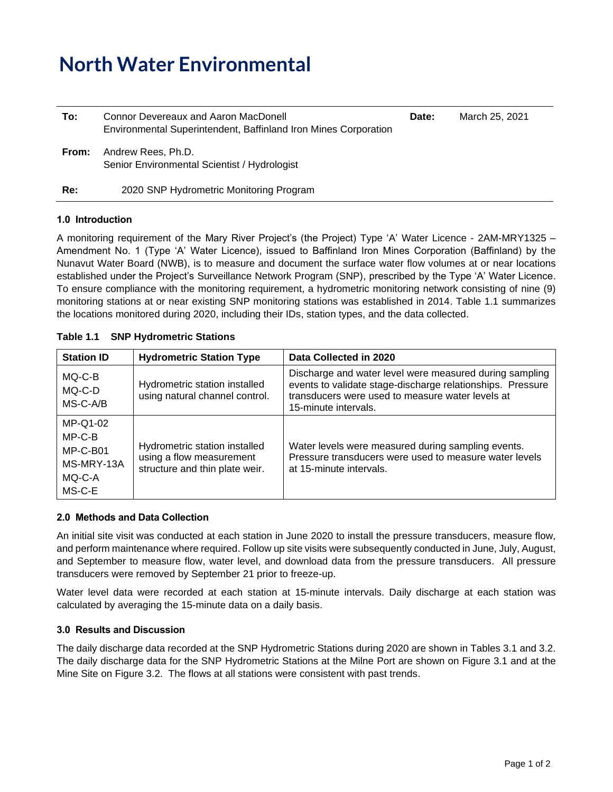# **North Water Environmental**

| To:   | Connor Devereaux and Aaron MacDonell<br>Environmental Superintendent, Baffinland Iron Mines Corporation | Date: | March 25, 2021 |
|-------|---------------------------------------------------------------------------------------------------------|-------|----------------|
| From: | Andrew Rees, Ph.D.<br>Senior Environmental Scientist / Hydrologist                                      |       |                |
| Re:   | 2020 SNP Hydrometric Monitoring Program                                                                 |       |                |

### **1.0 Introduction**

A monitoring requirement of the Mary River Project's (the Project) Type 'A' Water Licence - 2AM-MRY1325 – Amendment No. 1 (Type 'A' Water Licence), issued to Baffinland Iron Mines Corporation (Baffinland) by the Nunavut Water Board (NWB), is to measure and document the surface water flow volumes at or near locations established under the Project's Surveillance Network Program (SNP), prescribed by the Type 'A' Water Licence. To ensure compliance with the monitoring requirement, a hydrometric monitoring network consisting of nine (9) monitoring stations at or near existing SNP monitoring stations was established in 2014. Table 1.1 summarizes the locations monitored during 2020, including their IDs, station types, and the data collected.

## **Table 1.1 SNP Hydrometric Stations**

| <b>Station ID</b>                                                  | <b>Hydrometric Station Type</b>                                                             | Data Collected in 2020                                                                                                                                                                            |
|--------------------------------------------------------------------|---------------------------------------------------------------------------------------------|---------------------------------------------------------------------------------------------------------------------------------------------------------------------------------------------------|
| MQ-C-B<br>MQ-C-D<br>MS-C-A/B                                       | Hydrometric station installed<br>using natural channel control.                             | Discharge and water level were measured during sampling<br>events to validate stage-discharge relationships. Pressure<br>transducers were used to measure water levels at<br>15-minute intervals. |
| MP-Q1-02<br>$MP-C-B$<br>MP-C-B01<br>MS-MRY-13A<br>MQ-C-A<br>MS-C-E | Hydrometric station installed<br>using a flow measurement<br>structure and thin plate weir. | Water levels were measured during sampling events.<br>Pressure transducers were used to measure water levels<br>at 15-minute intervals.                                                           |

## **2.0 Methods and Data Collection**

An initial site visit was conducted at each station in June 2020 to install the pressure transducers, measure flow, and perform maintenance where required. Follow up site visits were subsequently conducted in June, July, August, and September to measure flow, water level, and download data from the pressure transducers. All pressure transducers were removed by September 21 prior to freeze-up.

Water level data were recorded at each station at 15-minute intervals. Daily discharge at each station was calculated by averaging the 15-minute data on a daily basis.

## **3.0 Results and Discussion**

The daily discharge data recorded at the SNP Hydrometric Stations during 2020 are shown in Tables 3.1 and 3.2. The daily discharge data for the SNP Hydrometric Stations at the Milne Port are shown on Figure 3.1 and at the Mine Site on Figure 3.2. The flows at all stations were consistent with past trends.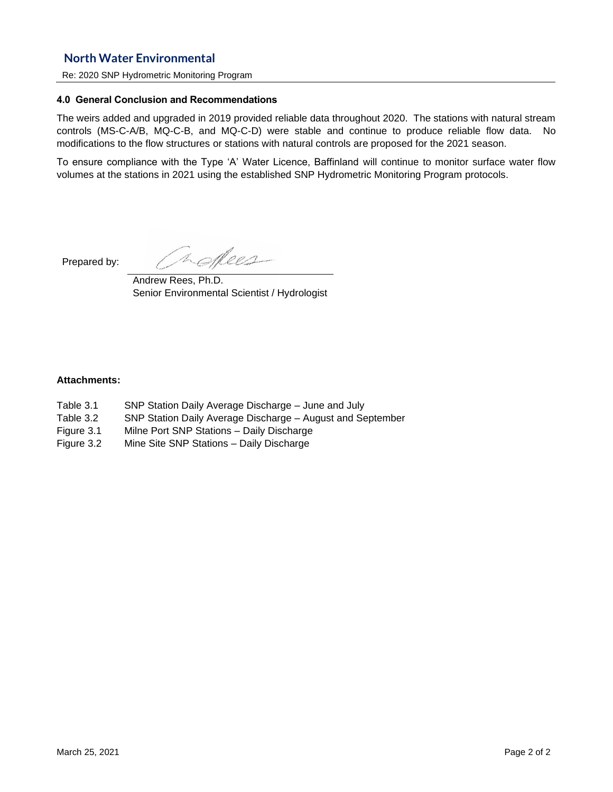## **North Water Environmental**

Re: 2020 SNP Hydrometric Monitoring Program

### **4.0 General Conclusion and Recommendations**

The weirs added and upgraded in 2019 provided reliable data throughout 2020. The stations with natural stream controls (MS-C-A/B, MQ-C-B, and MQ-C-D) were stable and continue to produce reliable flow data. No modifications to the flow structures or stations with natural controls are proposed for the 2021 season.

To ensure compliance with the Type 'A' Water Licence, Baffinland will continue to monitor surface water flow volumes at the stations in 2021 using the established SNP Hydrometric Monitoring Program protocols.

Prepared by:

noffees

Andrew Rees, Ph.D. Senior Environmental Scientist / Hydrologist

### **Attachments:**

- Table 3.1 SNP Station Daily Average Discharge June and July
- Table 3.2 SNP Station Daily Average Discharge August and September
- Figure 3.1 Milne Port SNP Stations Daily Discharge
- Figure 3.2 Mine Site SNP Stations Daily Discharge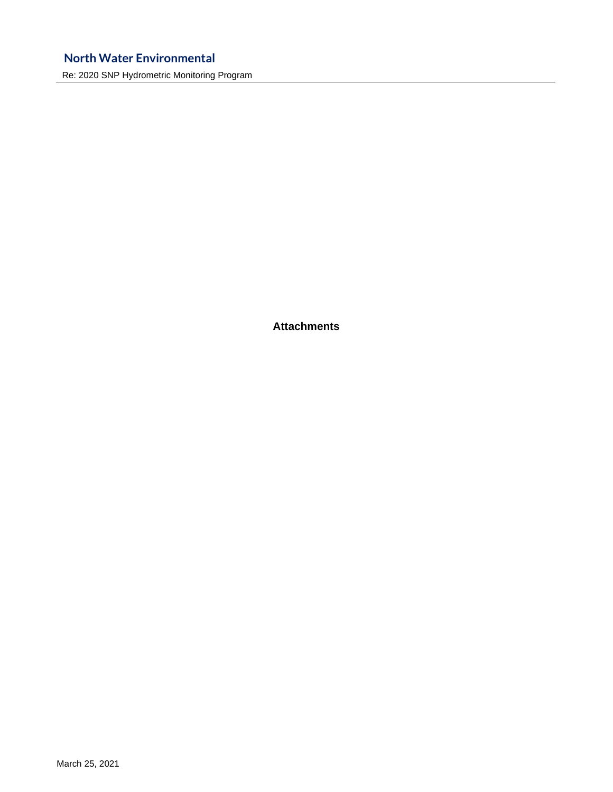## **North Water Environmental**

Re: 2020 SNP Hydrometric Monitoring Program

**Attachments**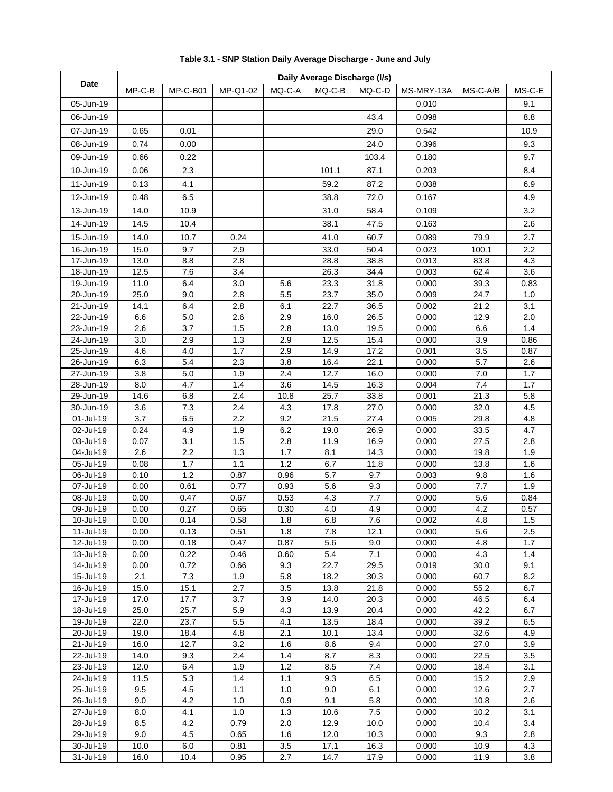|                            | Daily Average Discharge (I/s) |             |            |            |              |                           |                |              |            |
|----------------------------|-------------------------------|-------------|------------|------------|--------------|---------------------------|----------------|--------------|------------|
| Date                       | MP-C-B                        | MP-C-B01    | MP-Q1-02   | $MQ-C-A$   | $MQ-C-B$     | MQ-C-D                    | MS-MRY-13A     | MS-C-A/B     | MS-C-E     |
| 05-Jun-19                  |                               |             |            |            |              |                           | 0.010          |              | 9.1        |
| 06-Jun-19                  |                               |             |            |            |              | 43.4                      | 0.098          |              | 8.8        |
| 07-Jun-19                  | 0.65                          | 0.01        |            |            |              | 29.0                      | 0.542          |              | 10.9       |
| 08-Jun-19                  |                               | 0.00        |            |            |              |                           |                |              |            |
|                            | 0.74                          |             |            |            |              | 24.0                      | 0.396          |              | 9.3        |
| 09-Jun-19                  | 0.66                          | 0.22        |            |            |              | 103.4                     | 0.180          |              | 9.7        |
| 10-Jun-19                  | 0.06                          | 2.3         |            |            | 101.1        | 87.1                      | 0.203          |              | 8.4        |
| 11-Jun-19                  | 0.13                          | 4.1         |            |            | 59.2         | 87.2                      | 0.038          |              | 6.9        |
| 12-Jun-19                  | 0.48                          | 6.5         |            |            | 38.8         | 72.0                      | 0.167          |              | 4.9        |
| 13-Jun-19                  | 14.0                          | 10.9        |            |            | 31.0         | 58.4                      | 0.109          |              | 3.2        |
| 14-Jun-19                  | 14.5                          | 10.4        |            |            | 38.1         | 47.5                      | 0.163          |              | 2.6        |
| 15-Jun-19                  | 14.0                          | 10.7        | 0.24       |            | 41.0         | 60.7                      | 0.089          | 79.9         | 2.7        |
| 16-Jun-19                  | 15.0                          | 9.7         | 2.9        |            | 33.0         | 50.4                      | 0.023          | 100.1        | 2.2        |
| 17-Jun-19                  | 13.0                          | 8.8         | 2.8        |            | 28.8         | 38.8                      | 0.013          | 83.8         | 4.3        |
| $\overline{18}$ -Jun-19    | 12.5                          | 7.6         | 3.4        |            | 26.3         | 34.4                      | 0.003          | 62.4         | 3.6        |
| 19-Jun-19                  | 11.0                          | 6.4         | 3.0        | 5.6        | 23.3         | 31.8                      | 0.000          | 39.3         | 0.83       |
| 20-Jun-19                  | 25.0                          | 9.0         | 2.8        | 5.5        | 23.7         | 35.0                      | 0.009          | 24.7         | 1.0        |
| 21-Jun-19                  | 14.1                          | 6.4         | 2.8        | 6.1        | 22.7         | 36.5                      | 0.002          | 21.2         | 3.1        |
| 22-Jun-19                  | 6.6                           | 5.0         | 2.6        | 2.9        | 16.0         | 26.5                      | 0.000          | 12.9         | 2.0        |
| 23-Jun-19                  | 2.6                           | 3.7         | 1.5        | 2.8        | 13.0         | 19.5                      | 0.000          | 6.6          | 1.4        |
| 24-Jun-19                  | 3.0                           | 2.9         | 1.3        | 2.9        | 12.5         | 15.4                      | 0.000          | 3.9          | 0.86       |
| 25-Jun-19                  | 4.6                           | 4.0         | 1.7        | 2.9        | 14.9         | 17.2                      | 0.001          | 3.5          | 0.87       |
| 26-Jun-19                  | 6.3                           | 5.4         | 2.3        | 3.8        | 16.4         | 22.1                      | 0.000          | 5.7          | 2.6        |
| $\overline{27}$ -Jun-19    | 3.8                           | 5.0         | 1.9        | 2.4        | 12.7         | 16.0                      | 0.000          | 7.0          | 1.7        |
| 28-Jun-19                  | 8.0                           | 4.7         | 1.4        | 3.6        | 14.5         | 16.3                      | 0.004          | 7.4          | 1.7        |
| 29-Jun-19<br>$30 - Jun-19$ | 14.6                          | 6.8<br>7.3  | 2.4        | 10.8       | 25.7         | 33.8                      | 0.001          | 21.3         | 5.8        |
| 01-Jul-19                  | 3.6<br>3.7                    | 6.5         | 2.4<br>2.2 | 4.3<br>9.2 | 17.8<br>21.5 | 27.0<br>$\overline{27.4}$ | 0.000<br>0.005 | 32.0<br>29.8 | 4.5<br>4.8 |
| 02-Jul-19                  | 0.24                          | 4.9         | 1.9        | 6.2        | 19.0         | 26.9                      | 0.000          | 33.5         | 4.7        |
| 03-Jul-19                  | 0.07                          | 3.1         | 1.5        | 2.8        | 11.9         | 16.9                      | 0.000          | 27.5         | 2.8        |
| 04-Jul-19                  | 2.6                           | 2.2         | 1.3        | 1.7        | 8.1          | 14.3                      | 0.000          | 19.8         | 1.9        |
| 05-Jul-19                  | 0.08                          | 1.7         | 1.1        | 1.2        | 6.7          | 11.8                      | 0.000          | 13.8         | 1.6        |
| 06-Jul-19                  | 0.10                          | 1.2         | 0.87       | 0.96       | 5.7          | 9.7                       | 0.003          | 9.8          | 1.6        |
| 07-Jul-19                  | 0.00                          | 0.61        | 0.77       | 0.93       | 5.6          | 9.3                       | 0.000          | 7.7          | 1.9        |
| 08-Jul-19                  | 0.00                          | 0.47        | 0.67       | 0.53       | 4.3          | 7.7                       | 0.000          | 5.6          | 0.84       |
| 09-Jul-19                  | 0.00                          | 0.27        | 0.65       | 0.30       | 4.0          | 4.9                       | 0.000          | 4.2          | 0.57       |
| 10-Jul-19                  | 0.00                          | 0.14        | 0.58       | 1.8        | 6.8          | 7.6                       | 0.002          | 4.8          | 1.5        |
| 11-Jul-19                  | 0.00                          | 0.13        | 0.51       | 1.8        | 7.8          | 12.1                      | 0.000          | 5.6          | 2.5        |
| 12-Jul-19                  | 0.00                          | 0.18        | 0.47       | 0.87       | 5.6          | 9.0                       | 0.000          | 4.8          | 1.7        |
| 13-Jul-19                  | 0.00                          | 0.22        | 0.46       | 0.60       | 5.4          | 7.1                       | 0.000          | 4.3          | 1.4        |
| 14-Jul-19                  | 0.00                          | 0.72        | 0.66       | 9.3        | 22.7         | 29.5                      | 0.019<br>0.000 | 30.0<br>60.7 | 9.1        |
| 15-Jul-19<br>16-Jul-19     | 2.1<br>15.0                   | 7.3<br>15.1 | 1.9<br>2.7 | 5.8<br>3.5 | 18.2<br>13.8 | 30.3<br>21.8              | 0.000          | 55.2         | 8.2<br>6.7 |
| 17-Jul-19                  | 17.0                          | 17.7        | 3.7        | 3.9        | 14.0         | 20.3                      | 0.000          | 46.5         | 6.4        |
| 18-Jul-19                  | 25.0                          | 25.7        | 5.9        | 4.3        | 13.9         | 20.4                      | 0.000          | 42.2         | 6.7        |
| 19-Jul-19                  | 22.0                          | 23.7        | 5.5        | 4.1        | 13.5         | 18.4                      | 0.000          | 39.2         | 6.5        |
| 20-Jul-19                  | 19.0                          | 18.4        | 4.8        | 2.1        | 10.1         | 13.4                      | 0.000          | 32.6         | 4.9        |
| 21-Jul-19                  | 16.0                          | 12.7        | 3.2        | 1.6        | 8.6          | 9.4                       | 0.000          | 27.0         | 3.9        |
| 22-Jul-19                  | 14.0                          | 9.3         | 2.4        | 1.4        | 8.7          | 8.3                       | 0.000          | 22.5         | 3.5        |
| 23-Jul-19                  | 12.0                          | 6.4         | 1.9        | 1.2        | 8.5          | 7.4                       | 0.000          | 18.4         | 3.1        |
| 24-Jul-19                  | 11.5                          | 5.3         | 1.4        | 1.1        | 9.3          | 6.5                       | 0.000          | 15.2         | 2.9        |
| 25-Jul-19                  | 9.5                           | 4.5         | 1.1        | 1.0        | 9.0          | 6.1                       | 0.000          | 12.6         | 2.7        |
| 26-Jul-19                  | 9.0                           | 4.2         | 1.0        | 0.9        | 9.1          | 5.8                       | 0.000          | 10.8         | 2.6        |
| 27-Jul-19                  | 8.0                           | 4.1         | 1.0        | 1.3        | 10.6         | $7.5\,$                   | 0.000          | 10.2         | 3.1        |
| 28-Jul-19                  | 8.5                           | 4.2         | 0.79       | 2.0        | 12.9         | 10.0                      | 0.000          | 10.4         | 3.4        |
| 29-Jul-19                  | 9.0                           | 4.5         | 0.65       | 1.6        | 12.0         | 10.3                      | 0.000          | 9.3          | 2.8        |
| 30-Jul-19                  | 10.0                          | 6.0         | 0.81       | 3.5        | 17.1         | 16.3                      | 0.000          | 10.9         | 4.3        |
| 31-Jul-19                  | 16.0                          | 10.4        | 0.95       | 2.7        | 14.7         | 17.9                      | 0.000          | 11.9         | 3.8        |

| Table 3.1 - SNP Station Daily Average Discharge - June and July |
|-----------------------------------------------------------------|
|-----------------------------------------------------------------|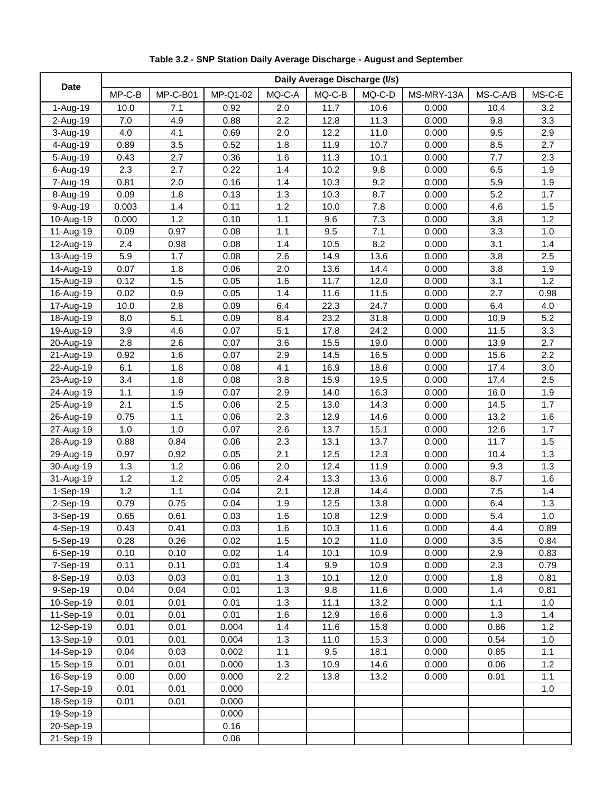| <b>Date</b> | Daily Average Discharge (I/s) |          |          |        |          |          |            |          |        |
|-------------|-------------------------------|----------|----------|--------|----------|----------|------------|----------|--------|
|             | $MP-C-B$                      | MP-C-B01 | MP-Q1-02 | MQ-C-A | $MQ-C-B$ | $MQ-C-D$ | MS-MRY-13A | MS-C-A/B | MS-C-E |
| 1-Aug-19    | 10.0                          | 7.1      | 0.92     | 2.0    | 11.7     | 10.6     | 0.000      | 10.4     | 3.2    |
| 2-Aug-19    | 7.0                           | 4.9      | 0.88     | 2.2    | 12.8     | 11.3     | 0.000      | 9.8      | 3.3    |
| 3-Aug-19    | 4.0                           | 4.1      | 0.69     | 2.0    | 12.2     | 11.0     | 0.000      | 9.5      | 2.9    |
| 4-Aug-19    | 0.89                          | 3.5      | 0.52     | 1.8    | 11.9     | 10.7     | 0.000      | 8.5      | 2.7    |
| 5-Aug-19    | 0.43                          | 2.7      | 0.36     | 1.6    | 11.3     | 10.1     | 0.000      | 7.7      | 2.3    |
| 6-Aug-19    | 2.3                           | 2.7      | 0.22     | 1.4    | 10.2     | 9.8      | 0.000      | 6.5      | 1.9    |
| 7-Aug-19    | 0.81                          | 2.0      | 0.16     | 1.4    | 10.3     | 9.2      | 0.000      | 5.9      | 1.9    |
| 8-Aug-19    | 0.09                          | 1.8      | 0.13     | 1.3    | 10.3     | 8.7      | 0.000      | 5.2      | 1.7    |
| 9-Aug-19    | 0.003                         | 1.4      | 0.11     | 1.2    | 10.0     | 7.8      | 0.000      | 4.6      | 1.5    |
| 10-Aug-19   | 0.000                         | 1.2      | 0.10     | 1.1    | 9.6      | 7.3      | 0.000      | 3.8      | 1.2    |
| 11-Aug-19   | 0.09                          | 0.97     | 0.08     | 1.1    | 9.5      | 7.1      | 0.000      | 3.3      | 1.0    |
| 12-Aug-19   | 2.4                           | 0.98     | 0.08     | 1.4    | 10.5     | 8.2      | 0.000      | 3.1      | 1.4    |
| 13-Aug-19   | 5.9                           | 1.7      | 0.08     | 2.6    | 14.9     | 13.6     | 0.000      | 3.8      | 2.5    |
| 14-Aug-19   | 0.07                          | 1.8      | 0.06     | 2.0    | 13.6     | 14.4     | 0.000      | 3.8      | 1.9    |
| 15-Aug-19   | 0.12                          | 1.5      | 0.05     | 1.6    | 11.7     | 12.0     | 0.000      | 3.1      | 1.2    |
| 16-Aug-19   | 0.02                          | 0.9      | 0.05     | 1.4    | 11.6     | 11.5     | 0.000      | 2.7      | 0.98   |
| 17-Aug-19   | 10.0                          | 2.8      | 0.09     | 6.4    | 22.3     | 24.7     | 0.000      | 6.4      | 4.0    |
| 18-Aug-19   | 8.0                           | 5.1      | 0.09     | 8.4    | 23.2     | 31.8     | 0.000      | 10.9     | 5.2    |
| 19-Aug-19   | 3.9                           | 4.6      | 0.07     | 5.1    | 17.8     | 24.2     | 0.000      | 11.5     | 3.3    |
| 20-Aug-19   | 2.8                           | 2.6      | 0.07     | 3.6    | 15.5     | 19.0     | 0.000      | 13.9     | 2.7    |
| 21-Aug-19   | 0.92                          | 1.6      | 0.07     | 2.9    | 14.5     | 16.5     | 0.000      | 15.6     | 2.2    |
| 22-Aug-19   | 6.1                           | 1.8      | 0.08     | 4.1    | 16.9     | 18.6     | 0.000      | 17.4     | 3.0    |
| 23-Aug-19   | 3.4                           | 1.8      | 0.08     | 3.8    | 15.9     | 19.5     | 0.000      | 17.4     | 2.5    |
| 24-Aug-19   | 1.1                           | 1.9      | 0.07     | 2.9    | 14.0     | 16.3     | 0.000      | 16.0     | 1.9    |
| 25-Aug-19   | 2.1                           | 1.5      | 0.06     | 2.5    | 13.0     | 14.3     | 0.000      | 14.5     | 1.7    |
| 26-Aug-19   | 0.75                          | 1.1      | 0.06     | 2.3    | 12.9     | 14.6     | 0.000      | 13.2     | 1.6    |
| 27-Aug-19   | $1.0$                         | 1.0      | 0.07     | 2.6    | 13.7     | 15.1     | 0.000      | 12.6     | 1.7    |
| 28-Aug-19   | 0.88                          | 0.84     | 0.06     | 2.3    | 13.1     | 13.7     | 0.000      | 11.7     | 1.5    |
| 29-Aug-19   | 0.97                          | 0.92     | 0.05     | 2.1    | 12.5     | 12.3     | 0.000      | 10.4     | 1.3    |
| 30-Aug-19   | 1.3                           | 1.2      | 0.06     | 2.0    | 12.4     | 11.9     | 0.000      | 9.3      | 1.3    |
| 31-Aug-19   | 1.2                           | 1.2      | 0.05     | 2.4    | 13.3     | 13.6     | 0.000      | 8.7      | 1.6    |
| 1-Sep-19    | 1.2                           | 1.1      | 0.04     | 2.1    | 12.8     | 14.4     | 0.000      | 7.5      | 1.4    |
| 2-Sep-19    | 0.79                          | 0.75     | 0.04     | 1.9    | 12.5     | 13.8     | 0.000      | 6.4      | 1.3    |
| 3-Sep-19    | 0.65                          | 0.61     | 0.03     | 1.6    | 10.8     | 12.9     | 0.000      | 5.4      | 1.0    |
| 4-Sep-19    | 0.43                          | 0.41     | 0.03     | 1.6    | 10.3     | 11.6     | 0.000      | 4.4      | 0.89   |
| 5-Sep-19    | 0.28                          | 0.26     | 0.02     | 1.5    | 10.2     | 11.0     | 0.000      | 3.5      | 0.84   |
| 6-Sep-19    | 0.10                          | 0.10     | 0.02     | 1.4    | 10.1     | 10.9     | 0.000      | 2.9      | 0.83   |
| 7-Sep-19    | 0.11                          | 0.11     | 0.01     | 1.4    | 9.9      | 10.9     | 0.000      | 2.3      | 0.79   |
| 8-Sep-19    | 0.03                          | 0.03     | 0.01     | 1.3    | 10.1     | 12.0     | 0.000      | 1.8      | 0.81   |
| 9-Sep-19    | 0.04                          | 0.04     | 0.01     | 1.3    | 9.8      | 11.6     | 0.000      | 1.4      | 0.81   |
| 10-Sep-19   | 0.01                          | 0.01     | 0.01     | 1.3    | 11.1     | 13.2     | 0.000      | 1.1      | 1.0    |
| 11-Sep-19   | 0.01                          | 0.01     | 0.01     | 1.6    | 12.9     | 16.6     | 0.000      | 1.3      | 1.4    |
| 12-Sep-19   | 0.01                          | 0.01     | 0.004    | 1.4    | 11.6     | 15.8     | 0.000      | 0.86     | 1.2    |
| 13-Sep-19   | 0.01                          | 0.01     | 0.004    | 1.3    | 11.0     | 15.3     | 0.000      | 0.54     | 1.0    |
| $14-Sep-19$ | 0.04                          | 0.03     | 0.002    | 1.1    | 9.5      | 18.1     | 0.000      | 0.85     | 1.1    |
| 15-Sep-19   | 0.01                          | 0.01     | 0.000    | 1.3    | 10.9     | 14.6     | 0.000      | 0.06     | 1.2    |
| 16-Sep-19   | 0.00                          | 0.00     | 0.000    | 2.2    | 13.8     | 13.2     | 0.000      | 0.01     | 1.1    |
| 17-Sep-19   | 0.01                          | 0.01     | 0.000    |        |          |          |            |          | 1.0    |
| 18-Sep-19   | 0.01                          | 0.01     | 0.000    |        |          |          |            |          |        |
| 19-Sep-19   |                               |          | 0.000    |        |          |          |            |          |        |
| 20-Sep-19   |                               |          | 0.16     |        |          |          |            |          |        |
| 21-Sep-19   |                               |          | 0.06     |        |          |          |            |          |        |

**Table 3.2 - SNP Station Daily Average Discharge - August and September**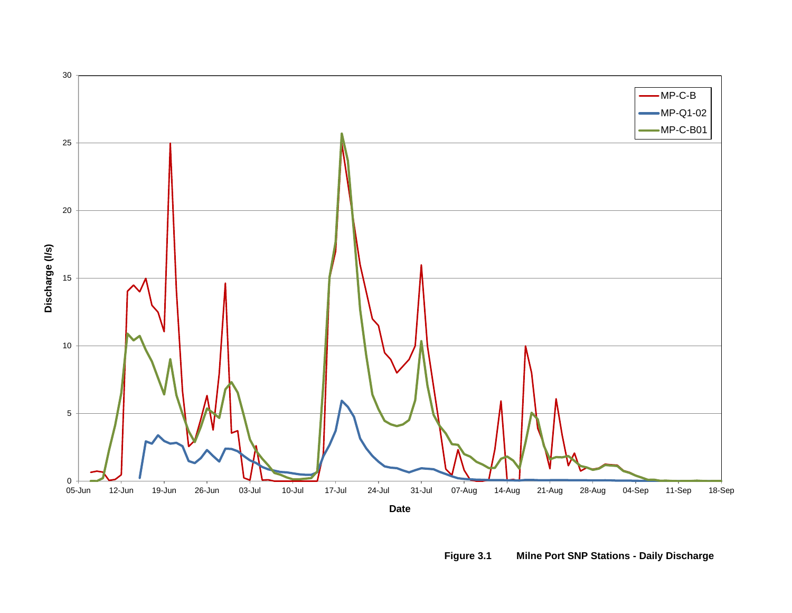

**Figure 3.1 Milne Port SNP Stations - Daily Discharge**